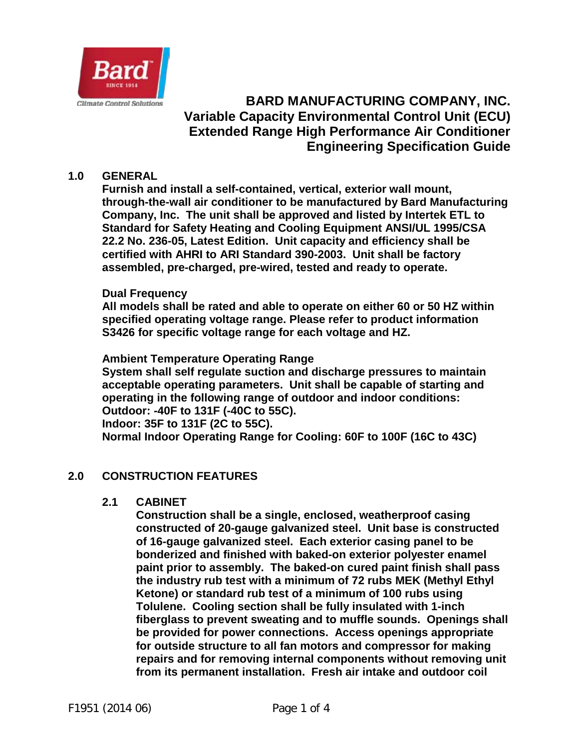

# **BARD MANUFACTURING COMPANY, INC. Variable Capacity Environmental Control Unit (ECU) Extended Range High Performance Air Conditioner Engineering Specification Guide**

### **1.0 GENERAL**

**Furnish and install a self-contained, vertical, exterior wall mount, through-the-wall air conditioner to be manufactured by Bard Manufacturing Company, Inc. The unit shall be approved and listed by Intertek ETL to Standard for Safety Heating and Cooling Equipment ANSI/UL 1995/CSA 22.2 No. 236-05, Latest Edition. Unit capacity and efficiency shall be certified with AHRI to ARI Standard 390-2003. Unit shall be factory assembled, pre-charged, pre-wired, tested and ready to operate.**

### **Dual Frequency**

**All models shall be rated and able to operate on either 60 or 50 HZ within specified operating voltage range. Please refer to product information S3426 for specific voltage range for each voltage and HZ.**

**Ambient Temperature Operating Range**

**System shall self regulate suction and discharge pressures to maintain acceptable operating parameters. Unit shall be capable of starting and operating in the following range of outdoor and indoor conditions: Outdoor: -40F to 131F (-40C to 55C). Indoor: 35F to 131F (2C to 55C). Normal Indoor Operating Range for Cooling: 60F to 100F (16C to 43C)**

### **2.0 CONSTRUCTION FEATURES**

### **2.1 CABINET**

**Construction shall be a single, enclosed, weatherproof casing constructed of 20-gauge galvanized steel. Unit base is constructed of 16-gauge galvanized steel. Each exterior casing panel to be bonderized and finished with baked-on exterior polyester enamel paint prior to assembly. The baked-on cured paint finish shall pass the industry rub test with a minimum of 72 rubs MEK (Methyl Ethyl Ketone) or standard rub test of a minimum of 100 rubs using Tolulene. Cooling section shall be fully insulated with 1-inch fiberglass to prevent sweating and to muffle sounds. Openings shall be provided for power connections. Access openings appropriate for outside structure to all fan motors and compressor for making repairs and for removing internal components without removing unit from its permanent installation. Fresh air intake and outdoor coil**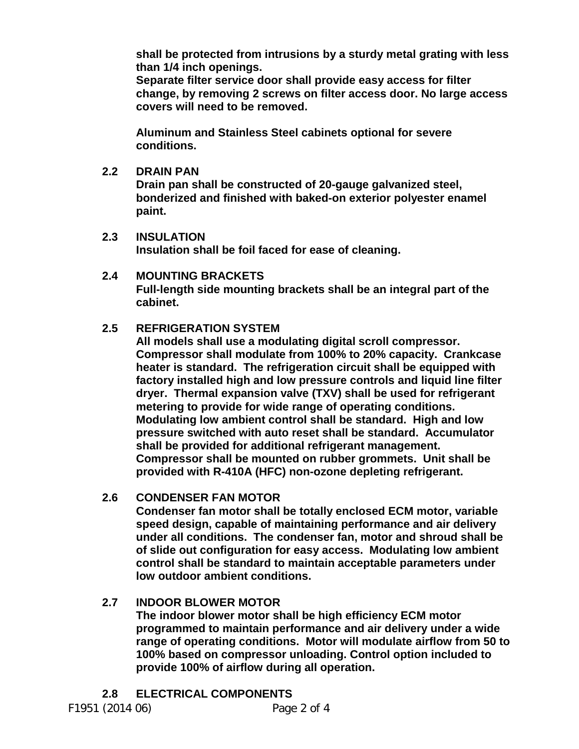**shall be protected from intrusions by a sturdy metal grating with less than 1/4 inch openings.**

**Separate filter service door shall provide easy access for filter change, by removing 2 screws on filter access door. No large access covers will need to be removed.**

**Aluminum and Stainless Steel cabinets optional for severe conditions.**

### **2.2 DRAIN PAN**

**Drain pan shall be constructed of 20-gauge galvanized steel, bonderized and finished with baked-on exterior polyester enamel paint.**

- **2.3 INSULATION Insulation shall be foil faced for ease of cleaning.**
- **2.4 MOUNTING BRACKETS Full-length side mounting brackets shall be an integral part of the cabinet.**

# **2.5 REFRIGERATION SYSTEM**

**All models shall use a modulating digital scroll compressor. Compressor shall modulate from 100% to 20% capacity. Crankcase heater is standard. The refrigeration circuit shall be equipped with factory installed high and low pressure controls and liquid line filter dryer. Thermal expansion valve (TXV) shall be used for refrigerant metering to provide for wide range of operating conditions. Modulating low ambient control shall be standard. High and low pressure switched with auto reset shall be standard. Accumulator shall be provided for additional refrigerant management. Compressor shall be mounted on rubber grommets. Unit shall be provided with R-410A (HFC) non-ozone depleting refrigerant.**

# **2.6 CONDENSER FAN MOTOR**

**Condenser fan motor shall be totally enclosed ECM motor, variable speed design, capable of maintaining performance and air delivery under all conditions. The condenser fan, motor and shroud shall be of slide out configuration for easy access. Modulating low ambient control shall be standard to maintain acceptable parameters under low outdoor ambient conditions.**

# **2.7 INDOOR BLOWER MOTOR**

**The indoor blower motor shall be high efficiency ECM motor programmed to maintain performance and air delivery under a wide range of operating conditions. Motor will modulate airflow from 50 to 100% based on compressor unloading. Control option included to provide 100% of airflow during all operation.**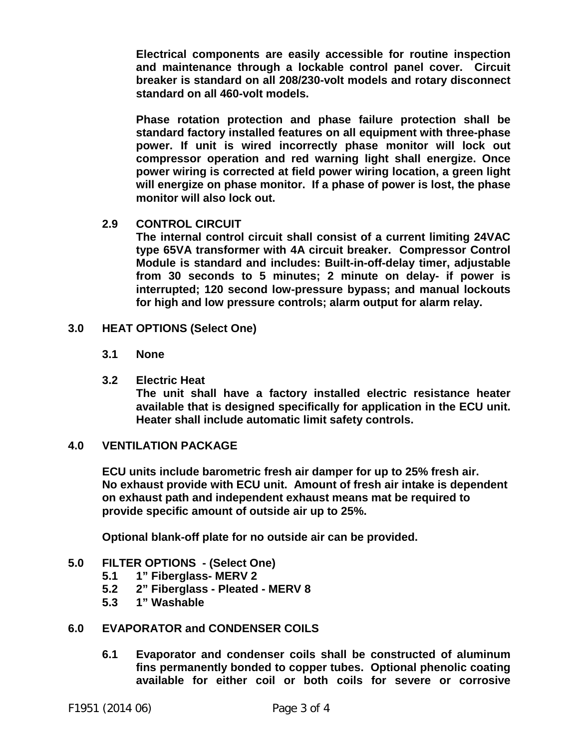**Electrical components are easily accessible for routine inspection and maintenance through a lockable control panel cover. Circuit breaker is standard on all 208/230-volt models and rotary disconnect standard on all 460-volt models.** 

**Phase rotation protection and phase failure protection shall be standard factory installed features on all equipment with three-phase power. If unit is wired incorrectly phase monitor will lock out compressor operation and red warning light shall energize. Once power wiring is corrected at field power wiring location, a green light will energize on phase monitor. If a phase of power is lost, the phase monitor will also lock out.** 

**2.9 CONTROL CIRCUIT**

**The internal control circuit shall consist of a current limiting 24VAC type 65VA transformer with 4A circuit breaker. Compressor Control Module is standard and includes: Built-in-off-delay timer, adjustable from 30 seconds to 5 minutes; 2 minute on delay- if power is interrupted; 120 second low-pressure bypass; and manual lockouts for high and low pressure controls; alarm output for alarm relay.**

- **3.0 HEAT OPTIONS (Select One)**
	- **3.1 None**
	- **3.2 Electric Heat**

**The unit shall have a factory installed electric resistance heater available that is designed specifically for application in the ECU unit. Heater shall include automatic limit safety controls.** 

### **4.0 VENTILATION PACKAGE**

**ECU units include barometric fresh air damper for up to 25% fresh air. No exhaust provide with ECU unit. Amount of fresh air intake is dependent on exhaust path and independent exhaust means mat be required to provide specific amount of outside air up to 25%.** 

**Optional blank-off plate for no outside air can be provided.**

### **5.0 FILTER OPTIONS - (Select One)**

- 
- **5.1 1" Fiberglass- MERV 2 5.2 2" Fiberglass - Pleated - MERV 8**
- **5.3 1" Washable**

### **6.0 EVAPORATOR and CONDENSER COILS**

**6.1 Evaporator and condenser coils shall be constructed of aluminum fins permanently bonded to copper tubes. Optional phenolic coating available for either coil or both coils for severe or corrosive**